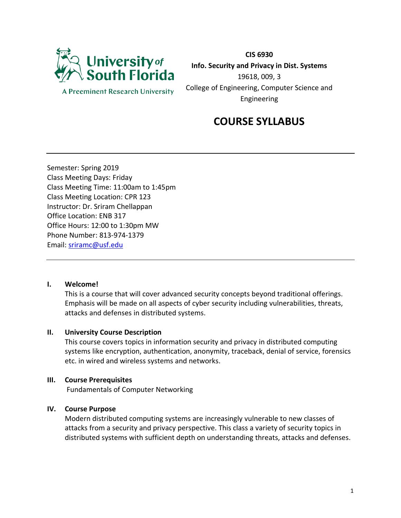

**A Preeminent Research University** 

**CIS 6930 Info. Security and Privacy in Dist. Systems** 19618, 009, 3 College of Engineering, Computer Science and Engineering

# **COURSE SYLLABUS**

Semester: Spring 2019 Class Meeting Days: Friday Class Meeting Time: 11:00am to 1:45pm Class Meeting Location: CPR 123 Instructor: Dr. Sriram Chellappan Office Location: ENB 317 Office Hours: 12:00 to 1:30pm MW Phone Number: 813-974-1379 Email: [sriramc@usf.edu](mailto:sriramc@usf.edu)

#### **I. Welcome!**

This is a course that will cover advanced security concepts beyond traditional offerings. Emphasis will be made on all aspects of cyber security including vulnerabilities, threats, attacks and defenses in distributed systems.

#### **II. University Course Description**

This course covers topics in information security and privacy in distributed computing systems like encryption, authentication, anonymity, traceback, denial of service, forensics etc. in wired and wireless systems and networks.

#### **III. Course Prerequisites**

Fundamentals of Computer Networking

#### **IV. Course Purpose**

Modern distributed computing systems are increasingly vulnerable to new classes of attacks from a security and privacy perspective. This class a variety of security topics in distributed systems with sufficient depth on understanding threats, attacks and defenses.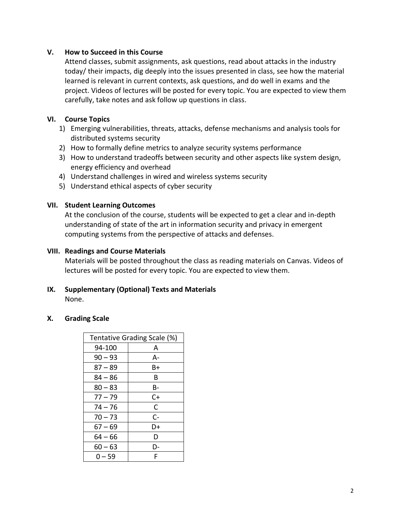# **V. How to Succeed in this Course**

Attend classes, submit assignments, ask questions, read about attacks in the industry today/ their impacts, dig deeply into the issues presented in class, see how the material learned is relevant in current contexts, ask questions, and do well in exams and the project. Videos of lectures will be posted for every topic. You are expected to view them carefully, take notes and ask follow up questions in class.

# **VI. Course Topics**

- 1) Emerging vulnerabilities, threats, attacks, defense mechanisms and analysis tools for distributed systems security
- 2) How to formally define metrics to analyze security systems performance
- 3) How to understand tradeoffs between security and other aspects like system design, energy efficiency and overhead
- 4) Understand challenges in wired and wireless systems security
- 5) Understand ethical aspects of cyber security

# **VII. Student Learning Outcomes**

At the conclusion of the course, students will be expected to get a clear and in-depth understanding of state of the art in information security and privacy in emergent computing systems from the perspective of attacks and defenses.

#### **VIII. Readings and Course Materials**

Materials will be posted throughout the class as reading materials on Canvas. Videos of lectures will be posted for every topic. You are expected to view them.

# **IX. Supplementary (Optional) Texts and Materials**

None.

#### **X. Grading Scale**

|           | Tentative Grading Scale (%) |
|-----------|-----------------------------|
| 94-100    | A                           |
| $90 - 93$ | А-                          |
| $87 - 89$ | B+                          |
| 84 – 86   | В                           |
| $80 - 83$ | B-                          |
| $77 - 79$ | C+                          |
| 74 – 76   | C                           |
| $70 - 73$ | C-                          |
| 67 – 69   | D+                          |
| 64 – 66   | D                           |
| 60 — 63   | D-                          |
| $0 - 59$  | F                           |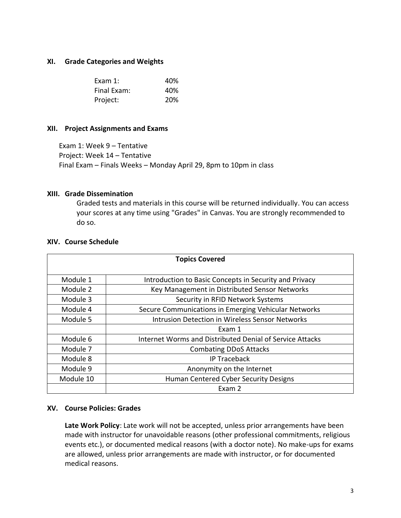#### **XI. Grade Categories and Weights**

| Exam $1$ :  | 40%        |
|-------------|------------|
| Final Exam: | 40%        |
| Project:    | <b>20%</b> |

#### **XII. Project Assignments and Exams**

Exam 1: Week 9 – Tentative Project: Week 14 – Tentative Final Exam – Finals Weeks – Monday April 29, 8pm to 10pm in class

#### **XIII. Grade Dissemination**

Graded tests and materials in this course will be returned individually. You can access your scores at any time using "Grades" in Canvas. You are strongly recommended to do so.

#### **XIV. Course Schedule**

| <b>Topics Covered</b> |                                                          |
|-----------------------|----------------------------------------------------------|
| Module 1              | Introduction to Basic Concepts in Security and Privacy   |
| Module 2              | Key Management in Distributed Sensor Networks            |
| Module 3              | Security in RFID Network Systems                         |
| Module 4              | Secure Communications in Emerging Vehicular Networks     |
| Module 5              | <b>Intrusion Detection in Wireless Sensor Networks</b>   |
|                       | Exam 1                                                   |
| Module 6              | Internet Worms and Distributed Denial of Service Attacks |
| Module 7              | <b>Combating DDoS Attacks</b>                            |
| Module 8              | <b>IP Traceback</b>                                      |
| Module 9              | Anonymity on the Internet                                |
| Module 10             | Human Centered Cyber Security Designs                    |
|                       | Exam 2                                                   |

#### **XV. Course Policies: Grades**

**Late Work Policy**: Late work will not be accepted, unless prior arrangements have been made with instructor for unavoidable reasons (other professional commitments, religious events etc.), or documented medical reasons (with a doctor note). No make-ups for exams are allowed, unless prior arrangements are made with instructor, or for documented medical reasons.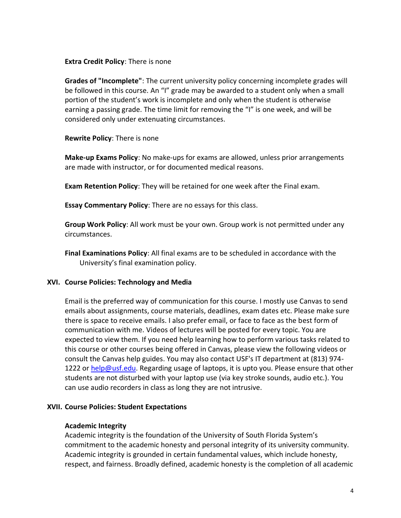#### **Extra Credit Policy**: There is none

**Grades of "Incomplete"**: The current university policy concerning incomplete grades will be followed in this course. An "I" grade may be awarded to a student only when a small portion of the student's work is incomplete and only when the student is otherwise earning a passing grade. The time limit for removing the "I" is one week, and will be considered only under extenuating circumstances.

# **Rewrite Policy**: There is none

**Make-up Exams Policy**: No make-ups for exams are allowed, unless prior arrangements are made with instructor, or for documented medical reasons.

**Exam Retention Policy**: They will be retained for one week after the Final exam.

**Essay Commentary Policy**: There are no essays for this class.

**Group Work Policy**: All work must be your own. Group work is not permitted under any circumstances.

**Final Examinations Policy**: All final exams are to be scheduled in accordance with the University's final examination policy.

# **XVI. Course Policies: Technology and Media**

Email is the preferred way of communication for this course. I mostly use Canvas to send emails about assignments, course materials, deadlines, exam dates etc. Please make sure there is space to receive emails. I also prefer email, or face to face as the best form of communication with me. Videos of lectures will be posted for every topic. You are expected to view them. If you need help learning how to perform various tasks related to this course or other courses being offered in Canvas, please view the following videos or consult the Canvas help guides. You may also contact USF's IT department at (813) 974 1222 or [help@usf.edu.](mailto:help@usf.edu) Regarding usage of laptops, it is upto you. Please ensure that other students are not disturbed with your laptop use (via key stroke sounds, audio etc.). You can use audio recorders in class as long they are not intrusive.

#### **XVII. Course Policies: Student Expectations**

#### **Academic Integrity**

Academic integrity is the foundation of the University of South Florida System's commitment to the academic honesty and personal integrity of its university community. Academic integrity is grounded in certain fundamental values, which include honesty, respect, and fairness. Broadly defined, academic honesty is the completion of all academic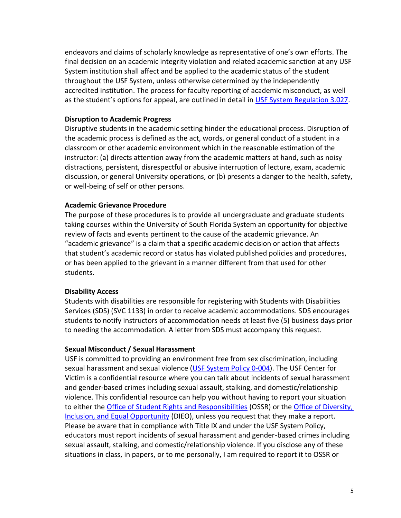endeavors and claims of scholarly knowledge as representative of one's own efforts. The final decision on an academic integrity violation and related academic sanction at any USF System institution shall affect and be applied to the academic status of the student throughout the USF System, unless otherwise determined by the independently accredited institution. The process for faculty reporting of academic misconduct, as well as the student's options for appeal, are outlined in detail in [USF System Regulation 3.027.](http://regulationspolicies.usf.edu/regulations/pdfs/regulation-usf3.027.pdf)

#### **Disruption to Academic Progress**

Disruptive students in the academic setting hinder the educational process. Disruption of the academic process is defined as the act, words, or general conduct of a student in a classroom or other academic environment which in the reasonable estimation of the instructor: (a) directs attention away from the academic matters at hand, such as noisy distractions, persistent, disrespectful or abusive interruption of lecture, exam, academic discussion, or general University operations, or (b) presents a danger to the health, safety, or well-being of self or other persons.

#### **Academic Grievance Procedure**

The purpose of these procedures is to provide all undergraduate and graduate students taking courses within the University of South Florida System an opportunity for objective review of facts and events pertinent to the cause of the academic grievance. An "academic grievance" is a claim that a specific academic decision or action that affects that student's academic record or status has violated published policies and procedures, or has been applied to the grievant in a manner different from that used for other students.

#### **Disability Access**

Students with disabilities are responsible for registering with Students with Disabilities Services (SDS) (SVC 1133) in order to receive academic accommodations. SDS encourages students to notify instructors of accommodation needs at least five (5) business days prior to needing the accommodation. A letter from SDS must accompany this request.

#### **Sexual Misconduct / Sexual Harassment**

USF is committed to providing an environment free from sex discrimination, including sexual harassment and sexual violence [\(USF System Policy 0-004\)](http://regulationspolicies.usf.edu/policies-and-procedures/pdfs/policy-0-004.pdf). The USF Center for Victim is a confidential resource where you can talk about incidents of sexual harassment and gender-based crimes including sexual assault, stalking, and domestic/relationship violence. This confidential resource can help you without having to report your situation to either the [Office of Student Rights and Responsibilities](https://www.usf.edu/student-affairs/student-rights-responsibilities/) (OSSR) or the [Office of Diversity,](https://www.usf.edu/diversity/)  [Inclusion, and Equal Opportunity](https://www.usf.edu/diversity/) (DIEO), unless you request that they make a report. Please be aware that in compliance with Title IX and under the USF System Policy, educators must report incidents of sexual harassment and gender-based crimes including sexual assault, stalking, and domestic/relationship violence. If you disclose any of these situations in class, in papers, or to me personally, I am required to report it to OSSR or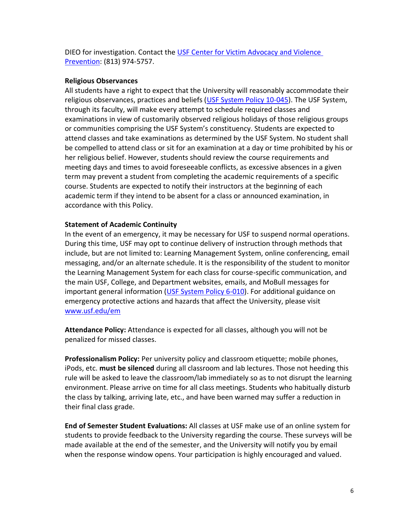DIEO for investigation. Contact the [USF Center for Victim Advocacy and Violence](https://www.usf.edu/student-affairs/victim-advocacy/)  [Prevention:](https://www.usf.edu/student-affairs/victim-advocacy/) (813) 974-5757.

# **Religious Observances**

All students have a right to expect that the University will reasonably accommodate their religious observances, practices and beliefs [\(USF System Policy 10-045\)](http://regulationspolicies.usf.edu/policies-and-procedures/pdfs/policy-10-045.pdf). The USF System, through its faculty, will make every attempt to schedule required classes and examinations in view of customarily observed religious holidays of those religious groups or communities comprising the USF System's constituency. Students are expected to attend classes and take examinations as determined by the USF System. No student shall be compelled to attend class or sit for an examination at a day or time prohibited by his or her religious belief. However, students should review the course requirements and meeting days and times to avoid foreseeable conflicts, as excessive absences in a given term may prevent a student from completing the academic requirements of a specific course. Students are expected to notify their instructors at the beginning of each academic term if they intend to be absent for a class or announced examination, in accordance with this Policy.

# **Statement of Academic Continuity**

In the event of an emergency, it may be necessary for USF to suspend normal operations. During this time, USF may opt to continue delivery of instruction through methods that include, but are not limited to: Learning Management System, online conferencing, email messaging, and/or an alternate schedule. It is the responsibility of the student to monitor the Learning Management System for each class for course-specific communication, and the main USF, College, and Department websites, emails, and MoBull messages for important general information [\(USF System Policy 6-010\)](http://regulationspolicies.usf.edu/policies-and-procedures/pdfs/policy-6-010.pdf). For additional guidance on emergency protective actions and hazards that affect the University, please visit [www.usf.edu/em](http://www.usf.edu/em)

**Attendance Policy:** Attendance is expected for all classes, although you will not be penalized for missed classes.

**Professionalism Policy:** Per university policy and classroom etiquette; mobile phones, iPods, etc. **must be silenced** during all classroom and lab lectures. Those not heeding this rule will be asked to leave the classroom/lab immediately so as to not disrupt the learning environment. Please arrive on time for all class meetings. Students who habitually disturb the class by talking, arriving late, etc., and have been warned may suffer a reduction in their final class grade.

**End of Semester Student Evaluations:** All classes at USF make use of an online system for students to provide feedback to the University regarding the course. These surveys will be made available at the end of the semester, and the University will notify you by email when the response window opens. Your participation is highly encouraged and valued.